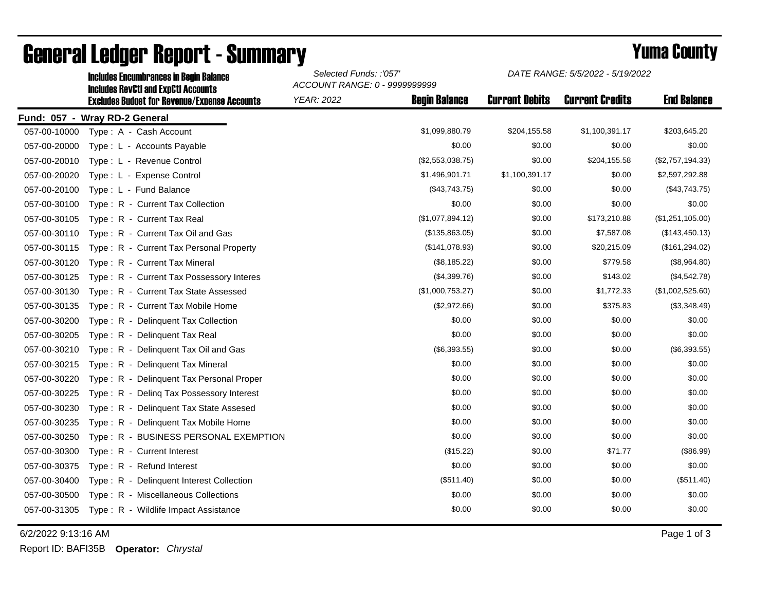|              | <b>Includes RevCtI and ExpCtI Accounts</b>          | ACCOUNT RANGE: 0 - 9999999999 |                      |                       |                        |                    |  |  |
|--------------|-----------------------------------------------------|-------------------------------|----------------------|-----------------------|------------------------|--------------------|--|--|
|              | <b>Excludes Budget for Revenue/Expense Accounts</b> | <b>YEAR: 2022</b>             | <b>Begin Balance</b> | <b>Current Debits</b> | <b>Current Credits</b> | <b>End Balance</b> |  |  |
|              | Fund: 057 - Wray RD-2 General                       |                               |                      |                       |                        |                    |  |  |
| 057-00-10000 | Type: A - Cash Account                              |                               | \$1,099,880.79       | \$204,155.58          | \$1,100,391.17         | \$203,645.20       |  |  |
| 057-00-20000 | Type : L - Accounts Payable                         |                               | \$0.00               | \$0.00                | \$0.00                 | \$0.00             |  |  |
| 057-00-20010 | Type: L - Revenue Control                           |                               | (\$2,553,038.75)     | \$0.00                | \$204,155.58           | (\$2,757,194.33)   |  |  |
| 057-00-20020 | Type: L - Expense Control                           |                               | \$1,496,901.71       | \$1,100,391.17        | \$0.00                 | \$2,597,292.88     |  |  |
| 057-00-20100 | Type: L - Fund Balance                              |                               | (\$43,743.75)        | \$0.00                | \$0.00                 | (\$43,743.75)      |  |  |
| 057-00-30100 | Type: R - Current Tax Collection                    |                               | \$0.00               | \$0.00                | \$0.00                 | \$0.00             |  |  |
| 057-00-30105 | Type: R - Current Tax Real                          |                               | (\$1,077,894.12)     | \$0.00                | \$173,210.88           | (\$1,251,105.00)   |  |  |
| 057-00-30110 | Type: R - Current Tax Oil and Gas                   |                               | (\$135,863.05)       | \$0.00                | \$7,587.08             | (\$143,450.13)     |  |  |
| 057-00-30115 | Type: R - Current Tax Personal Property             |                               | (\$141,078.93)       | \$0.00                | \$20,215.09            | (\$161, 294.02)    |  |  |
| 057-00-30120 | Type: R - Current Tax Mineral                       |                               | (\$8,185.22)         | \$0.00                | \$779.58               | (\$8,964.80)       |  |  |
| 057-00-30125 | Type: R - Current Tax Possessory Interes            |                               | (\$4,399.76)         | \$0.00                | \$143.02               | (\$4,542.78)       |  |  |
| 057-00-30130 | Type: R - Current Tax State Assessed                |                               | (\$1,000,753.27)     | \$0.00                | \$1,772.33             | (\$1,002,525.60)   |  |  |
| 057-00-30135 | Type: R - Current Tax Mobile Home                   |                               | (\$2,972.66)         | \$0.00                | \$375.83               | (\$3,348.49)       |  |  |
| 057-00-30200 | Type: R - Delinquent Tax Collection                 |                               | \$0.00               | \$0.00                | \$0.00                 | \$0.00             |  |  |
| 057-00-30205 | Type: R - Delinquent Tax Real                       |                               | \$0.00               | \$0.00                | \$0.00                 | \$0.00             |  |  |
| 057-00-30210 | Type: R - Delinguent Tax Oil and Gas                |                               | $(\$6,393.55)$       | \$0.00                | \$0.00                 | (\$6,393.55)       |  |  |
| 057-00-30215 | Type: R - Delinquent Tax Mineral                    |                               | \$0.00               | \$0.00                | \$0.00                 | \$0.00             |  |  |
| 057-00-30220 | Type: R - Delinquent Tax Personal Proper            |                               | \$0.00               | \$0.00                | \$0.00                 | \$0.00             |  |  |
| 057-00-30225 | Type: R - Deling Tax Possessory Interest            |                               | \$0.00               | \$0.00                | \$0.00                 | \$0.00             |  |  |
| 057-00-30230 | Type: R - Delinquent Tax State Assesed              |                               | \$0.00               | \$0.00                | \$0.00                 | \$0.00             |  |  |
| 057-00-30235 | Type: R - Delinquent Tax Mobile Home                |                               | \$0.00               | \$0.00                | \$0.00                 | \$0.00             |  |  |
| 057-00-30250 | Type: R - BUSINESS PERSONAL EXEMPTION               |                               | \$0.00               | \$0.00                | \$0.00                 | \$0.00             |  |  |
| 057-00-30300 | Type: R - Current Interest                          |                               | (\$15.22)            | \$0.00                | \$71.77                | (\$86.99)          |  |  |
| 057-00-30375 | Type: R - Refund Interest                           |                               | \$0.00               | \$0.00                | \$0.00                 | \$0.00             |  |  |
| 057-00-30400 | Type: R - Delinquent Interest Collection            |                               | (\$511.40)           | \$0.00                | \$0.00                 | (\$511.40)         |  |  |
| 057-00-30500 | Type: R - Miscellaneous Collections                 |                               | \$0.00               | \$0.00                | \$0.00                 | \$0.00             |  |  |
| 057-00-31305 | Type: R - Wildlife Impact Assistance                |                               | \$0.00               | \$0.00                | \$0.00                 | \$0.00             |  |  |
|              |                                                     |                               |                      |                       |                        |                    |  |  |

## General Ledger Report - Summary **Example 2018** Yuma County

Includes Encumbrances in Begin Balance *Selected Funds: :'057'*

6/2/2022 9:13:16 AM Page 1 of 3

Report ID: BAFI35B **Operator:** *Chrystal*

*DATE RANGE: 5/5/2022 - 5/19/2022*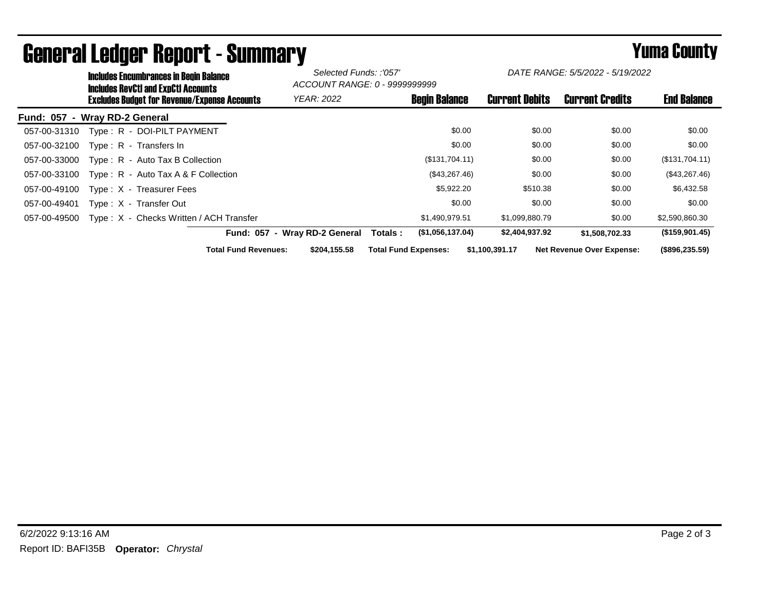|                               | <b>Includes Encumbrances in Begin Balance</b><br>Includes RevCtI and ExpCtI Accounts |                               | Selected Funds: :'057'<br>ACCOUNT RANGE: 0 - 9999999999 |                             | DATE RANGE: 5/5/2022 - 5/19/2022 |                       |                                  |                    |
|-------------------------------|--------------------------------------------------------------------------------------|-------------------------------|---------------------------------------------------------|-----------------------------|----------------------------------|-----------------------|----------------------------------|--------------------|
|                               | Excludes Budget for Revenue/Expense Accounts                                         |                               | <b>YEAR: 2022</b>                                       |                             | <b>Begin Balance</b>             | <b>Current Debits</b> | <b>Current Credits</b>           | <b>End Balance</b> |
| Fund: 057 - Wray RD-2 General |                                                                                      |                               |                                                         |                             |                                  |                       |                                  |                    |
| 057-00-31310                  | Type: R - DOI-PILT PAYMENT                                                           |                               |                                                         |                             | \$0.00                           | \$0.00                | \$0.00                           | \$0.00             |
| 057-00-32100                  | Type: R - Transfers In                                                               |                               |                                                         |                             | \$0.00                           | \$0.00                | \$0.00                           | \$0.00             |
| 057-00-33000                  | Type: R - Auto Tax B Collection                                                      |                               |                                                         |                             | (\$131,704.11)                   | \$0.00                | \$0.00                           | (\$131,704.11)     |
| 057-00-33100                  | Type: $R -$ Auto Tax A & F Collection                                                |                               |                                                         |                             | (\$43,267.46)                    | \$0.00                | \$0.00                           | (\$43,267.46)      |
| 057-00-49100                  | Type: X - Treasurer Fees                                                             |                               |                                                         |                             | \$5,922.20                       | \$510.38              | \$0.00                           | \$6,432.58         |
| 057-00-49401                  | Type: X - Transfer Out                                                               |                               |                                                         |                             | \$0.00                           | \$0.00                | \$0.00                           | \$0.00             |
| 057-00-49500                  | Type: X - Checks Written / ACH Transfer                                              |                               |                                                         |                             | \$1,490,979.51                   | \$1,099,880.79        | \$0.00                           | \$2,590,860.30     |
|                               |                                                                                      | Fund: 057 - Wray RD-2 General |                                                         | Totals :                    | (\$1,056,137.04)                 | \$2,404,937.92        | \$1,508,702.33                   | (\$159,901.45)     |
|                               |                                                                                      | <b>Total Fund Revenues:</b>   | \$204,155.58                                            | <b>Total Fund Expenses:</b> |                                  | \$1,100,391.17        | <b>Net Revenue Over Expense:</b> | (\$896, 235.59)    |

## General Ledger Report - Summary **Secret Express 2008 Secret Proport** - Summary